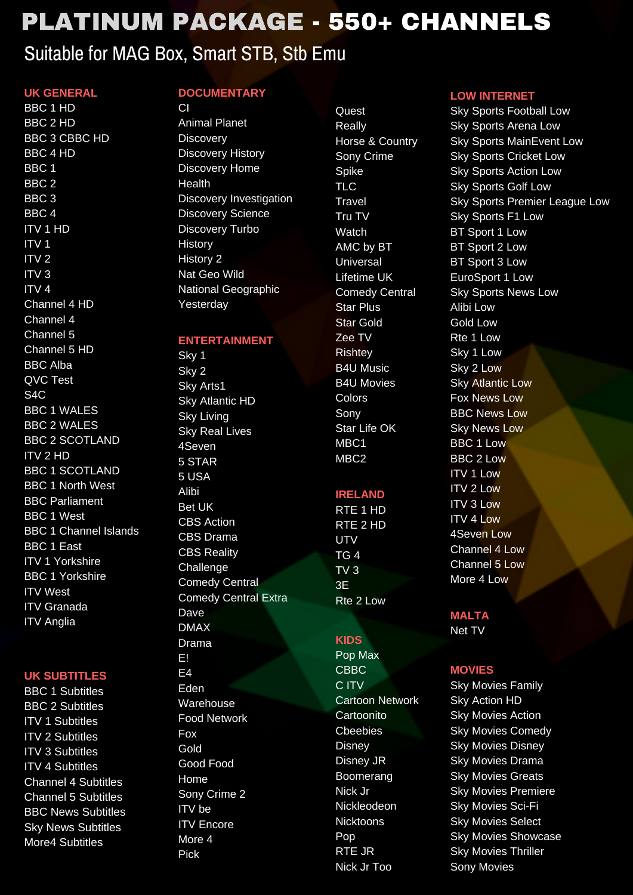# PLATINUM PACKAGE - 550+ CHANNELS

# Suitable for MAG Box, Smart STB, Stb Emu

### **UK GENERAL**

BBC 1 HD BBC 2 HD BBC 3 CBBC HD BBC 4 HD BBC 1  $BC 2$ BBC 3 BBC 4 ITV 1 HD  $\sum_{i=1}^{n}$  $\frac{1}{10}$  $\frac{1}{\pi}$ ITV 4 Channel 4 HD Channel 4 Channel 5 Channel 5 HD BBC Alba QVC Test  $\frac{1}{24}$ C BBC 1 WALES BBC 2 WALES BBC 2 SCOTLAND **ITV 2 HD** BBC 1 SCOTLAND BBC 1 North West BBC Parliament BBC 1 West BBC 1 Channel Islands BBC 1 East ITV 1 Yorkshire BBC 1 Yorkshire ITV West ITV Granada ITV Anglia

#### **UK SUBTITLES**

BBC 1 Subtitles BBC 2 Subtitles ITV 1 Subtitles ITV 2 Subtitles ITV 3 Subtitles ITV 4 Subtitles Channel 4 Subtitles Channel 5 Subtitles BBC News Subtitles Sky News Subtitles More4 Subtitles

#### **DOCUMENTARY**

## Animal Planet

Discovery Discovery History Discovery Home Health Discovery Investigation Discovery Science Discovery Turbo History History 2 Nat Geo Wild National Geographic Yesterday

# **ENTERTAINMENT** Sky 1

 $\frac{3}{5}$ Sky Arts1 Sky Atlantic HD Sky Living Sky Real Lives 4Seven 5 STAR 5 USA Alibi Bet UK CBS Action CBS Drama CBS Reality Challenge Comedy Central Comedy Central Extra Dave DMAX Drama

E! E4 Eden Warehouse Food Network Fox Gold Good Food Home Sony Crime 2 ITV be ITV Encore More 4 Pick

**Ouest** Really Horse & Country Sony Crime Spike TLC Travel Tru TV Watch AMC by BT Universal Lifetime UK Comedy Central Star Plus Star Gold Zee TV Rishtey B4U Music B4U Movies Colors Sony Star Life OK MBC1  $m<sup>2</sup>$ 

### **IRELAND**

RTE 1 HD RTE 2 HD UTV TG 4 TV 3 3E Rte 2 Low

#### **KIDS** Pop Max

CBBC C ITV Cartoon Network Cartoonito Cbeebies Disney Disney JR Boomerang

## Nick Jr Nickleodeon Nicktoons Pop RTE JR Nick Jr Too

#### **LOW INTERN**

Sky Sports Football Low Sky Sports Arena Low Sky Sports MainEvent Low Sky Sports Cricket Low Sky Sports Action Low Sky Sports Golf Low Sky Sports Premier League Low Sky Sports F1 Low BT Sport 1 Low BT Sport 2 Low BT Sport 3 Low EuroSport 1 Low Sky Sports News Low Alibi Low Gold Low Rte 1 Low Sky 1 Low Sky 2 Low Sky Atlantic Low Fox News Low BBC News Low Sky News Low BBC 1 Low BBC 2 Low ITV 1 Low ITV 2 Low ITV 3 Low ITV 4 Low 4Seven Low Channel 4 Low Channel 5 Low More 4 Low

**MALTA** Net TV

### **MOVIES**

Sky Movies Family Sky Action HD Sky Movies Action Sky Movies Comedy Sky Movies Disney Sky Movies Drama Sky Movies Greats Sky Movies Premiere Sky Movies Sci-Fi Sky Movies Select Sky Movies Showcase Sky Movies Thriller Sony Movies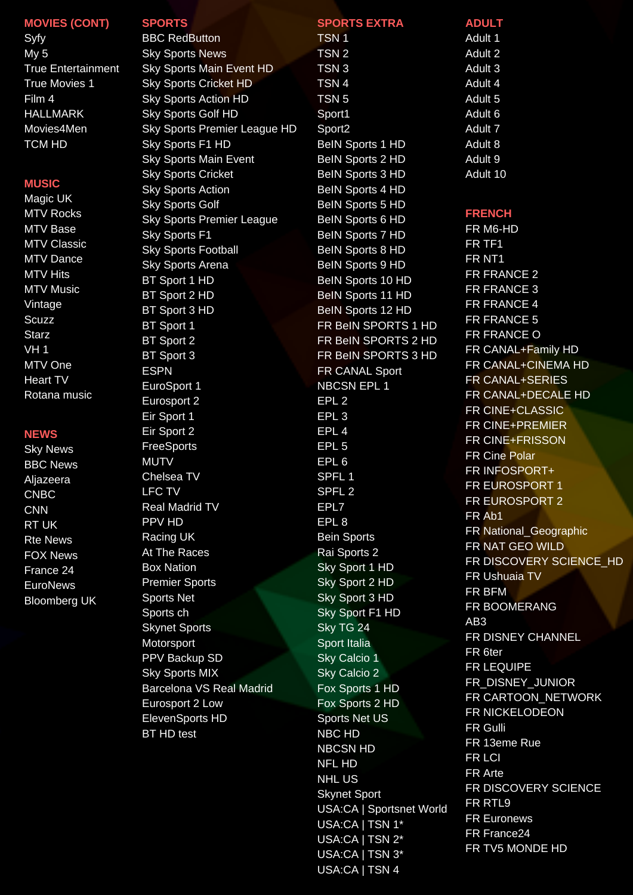#### **MOVIES (CONT)**

Syfy My 5 True Entertainment True Movies 1 Film 4 HALLMARK Movies4Men TCM HD

**MUSIC** Magic UK MTV Rocks MTV Base MTV Classic MTV Dance MTV Hits MTV Music Vintage Scuzz Starz VH 1 MTV One Heart TV Rotana music

**NEWS** Sky News BBC News Aljazeera CNBC CNN RT UK Rte News FOX News France 24 EuroNews Bloomberg UK

# **SPORTS** BBC RedButton

Sky Sports News Sky Sports Main Event HD Sky Sports Cricket HD Sky Sports Action HD Sky Sports Golf HD Sky Sports Premier League HD Sky Sports F1 HD Sky Sports Main Event Sky Sports Cricket Sky Sports Action Sky Sports Golf Sky Sports Premier League Sky Sports F1 Sky Sports Football Sky Sports Arena BT Sport 1 HD BT Sport 2 HD BT Sport 3 HD BT Sport 1 BT Sport 2 BT Sport 3 ESPAN EuroSport 1 Eurosport 2 Eir Sport 1 Eir Sport 2 FreeSports **MUTU** Chelsea TV LFC TV Real Madrid TV PPV HD Racing UK At The Races Box Nation Premier Sports Sports Net Sports ch Skynet Sports Motorsport PPV Backup SD Sky Sports MIX Barcelona VS Real Madrid Eurosport 2 Low ElevenSports HD BT HD test

#### **SPORTS EXTRA** TSN 1 TSN 2 TSN 3 TSN 4 TSN 5 Sport1 Sport<sub>2</sub> BeIN Sports 1 HD BeIN Sports 2 HD BeIN Sports 3 HD BeIN Sports 4 HD BeIN Sports 5 HD BeIN Sports 6 HD BeIN Sports 7 HD BeIN Sports 8 HD BeIN Sports 9 HD BeIN Sports 10 HD BeIN Sports 11 HD BeIN Sports 12 HD FR BeIN SPORTS 1 HD FR BeIN SPORTS 2 HD FR BeIN SPORTS 3 HD FR CANAL Sport NBCSN EPL 1 EPL 2 EPL 3 EPL 4 EPL 5 EPL 6 SPFL 1 SPFL 2 EPL7 EPL 8 Bein Sports Rai Sports 2 Sky Sport 1 HD Sky Sport 2 HD Sky Sport 3 HD Sky Sport F1 HD Sky TG 24 Sport Italia Sky Calcio 1 Sky Calcio 2 Fox Sports 1 HD Fox Sports 2 HD Sports Net US NBC HD NBCSN HD NFL HD NHL US Skynet Sport USA:CA | Sportsnet World USA:CA | TSN 1\* USA:CA | TSN 2\* USA:CA | TSN 3\* USA:CA | TSN 4

- **ADULT** Adult 1 Adult 2
- Adult 3 Adult 4 Adult 5 Adult 6 Adult 7 Adult 8 Adult 9 Adult 10

**FRENCH** FR M6-HD FR TF1 FR NT1 FR FRANCE 2 FR FRANCE 3 FR FRANCE 4 FR FRANCE 5 FR FRANCE O FR CANAL+Family HD FR CANAL+CINEMA HD FR CANAL+SERIES FR CANAL+DECALE HD FR CINE+CLASSIC FR CINE+PREMIER FR CINE+FRISSON FR Cine Polar FR INFOSPORT+ FR EUROSPORT 1 FR EUROSPORT 2 FR Ab1 FR National\_Geographic FR NAT GEO WILD FR DISCOVERY SCIENCE\_HD FR Ushuaia TV FR BFM FR BOOMERANG AB3 FR DISNEY CHANNEL FR 6ter FR LEQUIPE FR\_DISNEY\_JUNIOR FR CARTOON\_NETWORK FR NICKELODEON FR Gulli FR 13eme Rue FR LCI FR Arte FR DISCOVERY SCIENCE FR RTL9 FR Euronews FR France24 FR TV5 MONDE HD